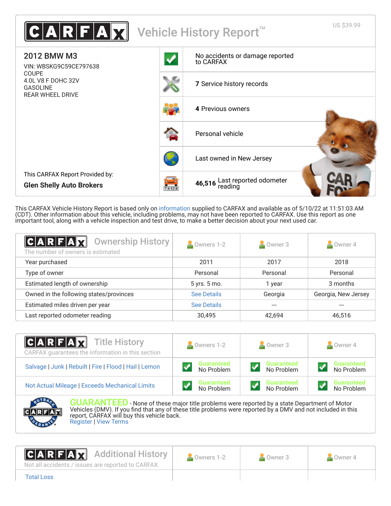

This CARFAX Vehicle History Report is based only on [information](http://www.carfax.com/company/vhr-data-sources) supplied to CARFAX and available as of 5/10/22 at 11:51:03 AM (CDT). Other information about this vehicle, including problems, may not have been reported to CARFAX. Use this report as one important tool, along with a vehicle inspection and test drive, to make a better decision about your next used car.

<span id="page-0-1"></span>

| C A R F A H<br><b>Ownership History</b><br>The number of owners is estimated | Owners 1-2         | Owner 3  | Owner 4             |
|------------------------------------------------------------------------------|--------------------|----------|---------------------|
| Year purchased                                                               | 2011               | 2017     | 2018                |
| Type of owner                                                                | Personal           | Personal | Personal            |
| Estimated length of ownership                                                | 5 yrs. 5 mo.       | 1 year   | 3 months            |
| Owned in the following states/provinces                                      | <b>See Details</b> | Georgia  | Georgia, New Jersey |
| Estimated miles driven per year                                              | <b>See Details</b> |          |                     |
| Last reported odometer reading                                               | 30,495             | 42.694   | 46,516              |

| <b>CARFAX</b> Title History<br>CARFAX guarantees the information in this section | Owners 1-2                      | Owner 3                         | Owner 4                         |  |
|----------------------------------------------------------------------------------|---------------------------------|---------------------------------|---------------------------------|--|
| Salvage   Junk   Rebuilt   Fire   Flood   Hail   Lemon                           | <b>Guaranteed</b><br>No Problem | <b>Guaranteed</b><br>No Problem | <b>Guaranteed</b><br>No Problem |  |
| Not Actual Mileage   Exceeds Mechanical Limits                                   | <b>Guaranteed</b><br>No Problem | <b>Guaranteed</b><br>No Problem | <b>Guaranteed</b><br>No Problem |  |



**GUARANTEED** - None of these major title problems were reported by a state Department of Motor Vehicles (DMV). If you find that any of these title problems were reported by a DMV and not included in this report, CARFAX will buy this vehicle back. [Register](https://www.carfax.com/Service/bbg) | [View Terms](http://www.carfaxonline.com/legal/bbgTerms)

<span id="page-0-0"></span>

Owners 1-2 Owner 3 Owner 4

Not all accidents / issues are reported to CARFAX

Additional History



[Total Loss](https://www.carfaxonline.com/vhrs/defTotalLoss)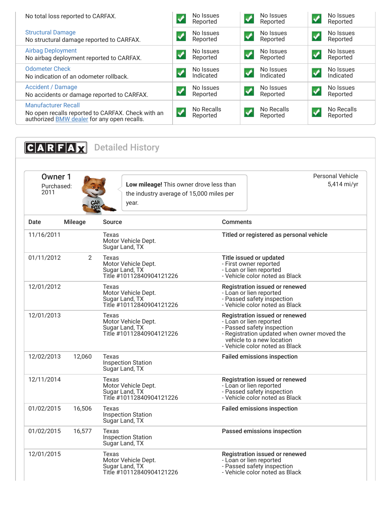| No total loss reported to CARFAX.                                                                                              | No Issues<br>Reported  |                            | No Issues<br>Reported  |                      | No Issues<br>Reported  |
|--------------------------------------------------------------------------------------------------------------------------------|------------------------|----------------------------|------------------------|----------------------|------------------------|
| <b>Structural Damage</b><br>No structural damage reported to CARFAX.                                                           | No Issues<br>Reported  |                            | No Issues<br>Reported  |                      | No Issues<br>Reported  |
| <b>Airbag Deployment</b><br>No airbag deployment reported to CARFAX.                                                           | No Issues<br>Reported  |                            | No Issues<br>Reported  | $\boldsymbol{v}$     | No Issues<br>Reported  |
| <b>Odometer Check</b><br>No indication of an odometer rollback.                                                                | No Issues<br>Indicated | $\boldsymbol{\mathcal{N}}$ | No Issues<br>Indicated | $\boldsymbol{J}$     | No Issues<br>Indicated |
| <b>Accident / Damage</b><br>No accidents or damage reported to CARFAX.                                                         | No Issues<br>Reported  |                            | No Issues<br>Reported  | $\blacktriangledown$ | No Issues<br>Reported  |
| <b>Manufacturer Recall</b><br>No open recalls reported to CARFAX. Check with an<br>authorized BMW dealer for any open recalls. | No Recalls<br>Reported |                            | No Recalls<br>Reported |                      | No Recalls<br>Reported |

<span id="page-1-1"></span><span id="page-1-0"></span>

| Owner 1<br>Purchased:<br>2011 |                | Low mileage! This owner drove less than<br>the industry average of 15,000 miles per<br>year. | <b>Personal Vehicle</b>                                                                                                                                                                               | 5,414 mi/yr |
|-------------------------------|----------------|----------------------------------------------------------------------------------------------|-------------------------------------------------------------------------------------------------------------------------------------------------------------------------------------------------------|-------------|
| Date                          | <b>Mileage</b> | <b>Source</b>                                                                                | <b>Comments</b>                                                                                                                                                                                       |             |
| 11/16/2011                    |                | Texas<br>Motor Vehicle Dept.<br>Sugar Land, TX                                               | Titled or registered as personal vehicle                                                                                                                                                              |             |
| 01/11/2012                    | $\overline{2}$ | Texas<br>Motor Vehicle Dept.<br>Sugar Land, TX<br>Title #10112840904121226                   | Title issued or updated<br>- First owner reported<br>- Loan or lien reported<br>- Vehicle color noted as Black                                                                                        |             |
| 12/01/2012                    |                | Texas<br>Motor Vehicle Dept.<br>Sugar Land, TX<br>Title #10112840904121226                   | Registration issued or renewed<br>- Loan or lien reported<br>- Passed safety inspection<br>- Vehicle color noted as Black                                                                             |             |
| 12/01/2013                    |                | Texas<br>Motor Vehicle Dept.<br>Sugar Land, TX<br>Title #10112840904121226                   | Registration issued or renewed<br>- Loan or lien reported<br>- Passed safety inspection<br>- Registration updated when owner moved the<br>vehicle to a new location<br>- Vehicle color noted as Black |             |
| 12/02/2013                    | 12,060         | Texas<br><b>Inspection Station</b><br>Sugar Land, TX                                         | <b>Failed emissions inspection</b>                                                                                                                                                                    |             |
| 12/11/2014                    |                | Texas<br>Motor Vehicle Dept.<br>Sugar Land, TX<br>Title #10112840904121226                   | Registration issued or renewed<br>- Loan or lien reported<br>- Passed safety inspection<br>- Vehicle color noted as Black                                                                             |             |
| 01/02/2015                    | 16,506         | Texas<br><b>Inspection Station</b><br>Sugar Land, TX                                         | <b>Failed emissions inspection</b>                                                                                                                                                                    |             |
| 01/02/2015                    | 16,577         | Texas<br><b>Inspection Station</b><br>Sugar Land, TX                                         | Passed emissions inspection                                                                                                                                                                           |             |
| 12/01/2015                    |                | Texas<br>Motor Vehicle Dept.<br>Sugar Land, TX                                               | Registration issued or renewed<br>- Loan or lien reported<br>- Passed safety inspection                                                                                                               |             |

- Vehicle color noted as Black

Title #10112840904121226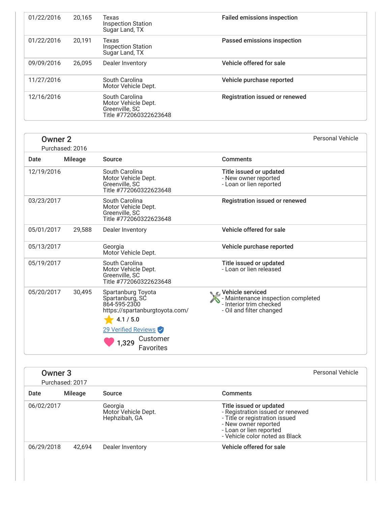| 01/22/2016 | 20.165 | Texas<br><b>Inspection Station</b><br>Sugar Land, TX                              | <b>Failed emissions inspection</b> |
|------------|--------|-----------------------------------------------------------------------------------|------------------------------------|
| 01/22/2016 | 20.191 | Texas<br><b>Inspection Station</b><br>Sugar Land, TX                              | Passed emissions inspection        |
| 09/09/2016 | 26.095 | Dealer Inventory                                                                  | Vehicle offered for sale           |
| 11/27/2016 |        | South Carolina<br>Motor Vehicle Dept.                                             | Vehicle purchase reported          |
| 12/16/2016 |        | South Carolina<br>Motor Vehicle Dept.<br>Greenville, SC<br>Title #772060322623648 | Registration issued or renewed     |

| <b>Owner 2</b> | Purchased: 2016 |                                                                                                                                                                      | Personal Vehicle                                                                          |
|----------------|-----------------|----------------------------------------------------------------------------------------------------------------------------------------------------------------------|-------------------------------------------------------------------------------------------|
| Date           | Mileage         | Source                                                                                                                                                               | <b>Comments</b>                                                                           |
| 12/19/2016     |                 | South Carolina<br>Motor Vehicle Dept.<br>Greenville, SC<br>Title #772060322623648                                                                                    | Title issued or updated<br>- New owner reported<br>- Loan or lien reported                |
| 03/23/2017     |                 | South Carolina<br>Motor Vehicle Dept.<br>Greenville, SC<br>Title #772060322623648                                                                                    | <b>Registration issued or renewed</b>                                                     |
| 05/01/2017     | 29,588          | Dealer Inventory                                                                                                                                                     | Vehicle offered for sale                                                                  |
| 05/13/2017     |                 | Georgia<br>Motor Vehicle Dept.                                                                                                                                       | Vehicle purchase reported                                                                 |
| 05/19/2017     |                 | South Carolina<br>Motor Vehicle Dept.<br>Greenville, SC<br>Title #772060322623648                                                                                    | Title issued or updated<br>- Loan or lien released                                        |
| 05/20/2017     | 30,495          | Spartanburg Toyota<br>Spartanburg, SC<br>864-595-2300<br>https://spartanburgtoyota.com/<br>4.1 / 5.0<br>29 Verified Reviews<br>Customer<br>1,329<br><b>Favorites</b> | - Maintenance inspection completed<br>- Interior trim checked<br>- Oil and filter changed |

|            | Owner 3<br>Purchased: 2017 |                                                 | Personal Vehicle                                                                                                                                                                   |
|------------|----------------------------|-------------------------------------------------|------------------------------------------------------------------------------------------------------------------------------------------------------------------------------------|
| Date       | Mileage                    | Source                                          | <b>Comments</b>                                                                                                                                                                    |
| 06/02/2017 |                            | Georgia<br>Motor Vehicle Dept.<br>Hephzibah, GA | Title issued or updated<br>- Registration issued or renewed<br>- Title or registration issued<br>- New owner reported<br>- Loan or lien reported<br>- Vehicle color noted as Black |
| 06/29/2018 | 42.694                     | Dealer Inventory                                | Vehicle offered for sale                                                                                                                                                           |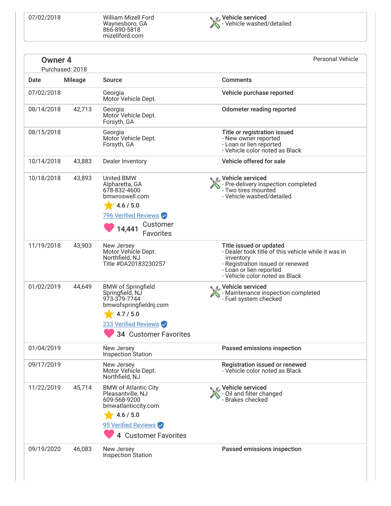07/02/2018 William Mizell Ford Waynesboro, GA 866-890-5818 mizellford.com



| Owner 4    | Purchased: 2018 |                                                                                                                                                      | <b>Personal Vehicle</b>                                                                                                                                                                      |
|------------|-----------------|------------------------------------------------------------------------------------------------------------------------------------------------------|----------------------------------------------------------------------------------------------------------------------------------------------------------------------------------------------|
| Date       | <b>Mileage</b>  | Source                                                                                                                                               | <b>Comments</b>                                                                                                                                                                              |
| 07/02/2018 |                 | Georgia<br>Motor Vehicle Dept.                                                                                                                       | Vehicle purchase reported                                                                                                                                                                    |
| 08/14/2018 | 42,713          | Georgia<br>Motor Vehicle Dept.<br>Forsyth, GA                                                                                                        | <b>Odometer reading reported</b>                                                                                                                                                             |
| 08/15/2018 |                 | Georgia<br>Motor Vehicle Dept.<br>Forsyth, GA                                                                                                        | Title or registration issued<br>- New owner reported<br>- Loan or lien reported<br>- Vehicle color noted as Black                                                                            |
| 10/14/2018 | 43,883          | Dealer Inventory                                                                                                                                     | Vehicle offered for sale                                                                                                                                                                     |
| 10/18/2018 | 43,893          | <b>United BMW</b><br>Alpharetta, GA<br>678-832-4600<br>bmwroswell.com<br>4.6 / 5.0<br>796 Verified Reviews<br>Customer<br>14,441<br><b>Favorites</b> | <b>C</b> Vehicle serviced<br>- Pre-delivery inspection completed<br>- Two tires mounted<br>- Vehicle washed/detailed                                                                         |
| 11/19/2018 | 43,903          | New Jersey<br>Motor Vehícle Dept.<br>Northfield, NJ<br>Title #DA20183230257                                                                          | Title issued or updated<br>- Dealer took title of this vehicle while it was in<br>inventory<br>- Registration issued or renewed<br>- Loan or lien reported<br>- Vehicle color noted as Black |
| 01/02/2019 | 44,649          | <b>BMW of Springfield</b><br>Springfield, NJ<br>973-379-7744<br>bmwofspringfieldnj.com<br>4.7 / 5.0<br>233 Verified Reviews<br>34 Customer Favorites | C Vehicle serviced<br>- Maintenance inspection completed<br>- Fuel system checked                                                                                                            |
| 01/04/2019 |                 | New Jersey<br>Inspection Station                                                                                                                     | Passed emissions inspection                                                                                                                                                                  |
| 09/17/2019 |                 | New Jersey<br>Motor Vehicle Dept.<br>Northfield, NJ                                                                                                  | Registration issued or renewed<br>- Vehicle color noted as Black                                                                                                                             |
| 11/22/2019 | 45,714          | <b>BMW of Atlantic City</b><br>Pleasantville, NJ<br>609-568-9200<br>bmwatlanticcity.com<br>4.6 / 5.0<br>95 Verified Reviews<br>4 Customer Favorites  | C Vehicle serviced<br>- Oil and filter changed<br>- Brakes checked                                                                                                                           |
| 09/19/2020 | 46,083          | New Jersey<br>Inspection Station                                                                                                                     | Passed emissions inspection                                                                                                                                                                  |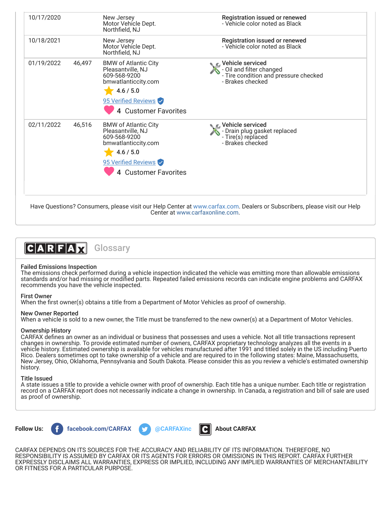| 10/17/2020 |        | New Jersey<br>Motor Vehicle Dept.<br>Northfield, NJ                                                                                                           | Registration issued or renewed<br>- Vehicle color noted as Black                                                                 |
|------------|--------|---------------------------------------------------------------------------------------------------------------------------------------------------------------|----------------------------------------------------------------------------------------------------------------------------------|
| 10/18/2021 |        | New Jersey<br>Motor Vehicle Dept.<br>Northfield, NJ                                                                                                           | Registration issued or renewed<br>- Vehicle color noted as Black                                                                 |
| 01/19/2022 | 46,497 | <b>BMW of Atlantic City</b><br>Pleasantville, NJ<br>609-568-9200<br>bmwatlanticcity.com<br>4.6 / 5.0<br>95 Verified Reviews<br>4 Customer Favorites           | $\bullet$ $\epsilon$ . Vehicle serviced<br>- Oil and filter changed<br>- Tire condition and pressure checked<br>- Brakes checked |
| 02/11/2022 | 46,516 | <b>BMW of Atlantic City</b><br>Pleasantville, NJ<br>609-568-9200<br>bmwatlanticcity.com<br>4.6 / 5.0<br>95 Verified Reviews<br><b>Customer Favorites</b><br>4 | $\bullet$ $\epsilon$ . Vehicle serviced<br>- Drain plug gasket replaced<br>- Tire(s) replaced<br>- Brakes checked                |

Have Questions? Consumers, please visit our Help Center at [www.carfax.com](http://www.carfax.com/help). Dealers or Subscribers, please visit our Help Center at [www.carfaxonline.com.](http://www.carfaxonline.com/)



# Failed Emissions Inspection

The emissions check performed during a vehicle inspection indicated the vehicle was emitting more than allowable emissions standards and/or had missing or modified parts. Repeated failed emissions records can indicate engine problems and CARFAX recommends you have the vehicle inspected.

## First Owner

When the first owner(s) obtains a title from a Department of Motor Vehicles as proof of ownership.

## New Owner Reported

When a vehicle is sold to a new owner, the Title must be transferred to the new owner(s) at a Department of Motor Vehicles.

## Ownership History

CARFAX defines an owner as an individual or business that possesses and uses a vehicle. Not all title transactions represent changes in ownership. To provide estimated number of owners, CARFAX proprietary technology analyzes all the events in a vehicle history. Estimated ownership is available for vehicles manufactured after 1991 and titled solely in the US including Puerto Rico. Dealers sometimes opt to take ownership of a vehicle and are required to in the following states: Maine, Massachusetts, New Jersey, Ohio, Oklahoma, Pennsylvania and South Dakota. Please consider this as you review a vehicle's estimated ownership history.

## Title Issued

A state issues a title to provide a vehicle owner with proof of ownership. Each title has a unique number. Each title or registration record on a CARFAX report does not necessarily indicate a change in ownership. In Canada, a registration and bill of sale are used as proof of ownership.



CARFAX DEPENDS ON ITS SOURCES FOR THE ACCURACY AND RELIABILITY OF ITS INFORMATION. THEREFORE, NO RESPONSIBILITY IS ASSUMED BY CARFAX OR ITS AGENTS FOR ERRORS OR OMISSIONS IN THIS REPORT. CARFAX FURTHER EXPRESSLY DISCLAIMS ALL WARRANTIES, EXPRESS OR IMPLIED, INCLUDING ANY IMPLIED WARRANTIES OF MERCHANTABILITY OR FITNESS FOR A PARTICULAR PURPOSE.